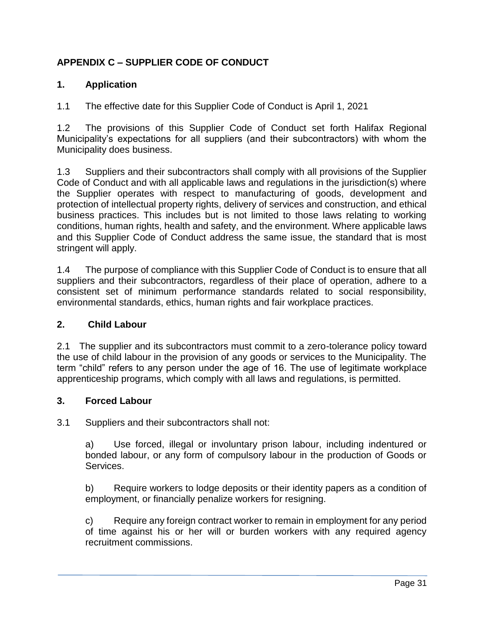# **APPENDIX C – SUPPLIER CODE OF CONDUCT**

### **1. Application**

1.1 The effective date for this Supplier Code of Conduct is April 1, 2021

1.2 The provisions of this Supplier Code of Conduct set forth Halifax Regional Municipality's expectations for all suppliers (and their subcontractors) with whom the Municipality does business.

1.3 Suppliers and their subcontractors shall comply with all provisions of the Supplier Code of Conduct and with all applicable laws and regulations in the jurisdiction(s) where the Supplier operates with respect to manufacturing of goods, development and protection of intellectual property rights, delivery of services and construction, and ethical business practices. This includes but is not limited to those laws relating to working conditions, human rights, health and safety, and the environment. Where applicable laws and this Supplier Code of Conduct address the same issue, the standard that is most stringent will apply.

1.4 The purpose of compliance with this Supplier Code of Conduct is to ensure that all suppliers and their subcontractors, regardless of their place of operation, adhere to a consistent set of minimum performance standards related to social responsibility, environmental standards, ethics, human rights and fair workplace practices.

#### **2. Child Labour**

2.1 The supplier and its subcontractors must commit to a zero-tolerance policy toward the use of child labour in the provision of any goods or services to the Municipality. The term "child" refers to any person under the age of 16. The use of legitimate workplace apprenticeship programs, which comply with all laws and regulations, is permitted.

#### **3. Forced Labour**

3.1 Suppliers and their subcontractors shall not:

a) Use forced, illegal or involuntary prison labour, including indentured or bonded labour, or any form of compulsory labour in the production of Goods or Services.

b) Require workers to lodge deposits or their identity papers as a condition of employment, or financially penalize workers for resigning.

c) Require any foreign contract worker to remain in employment for any period of time against his or her will or burden workers with any required agency recruitment commissions.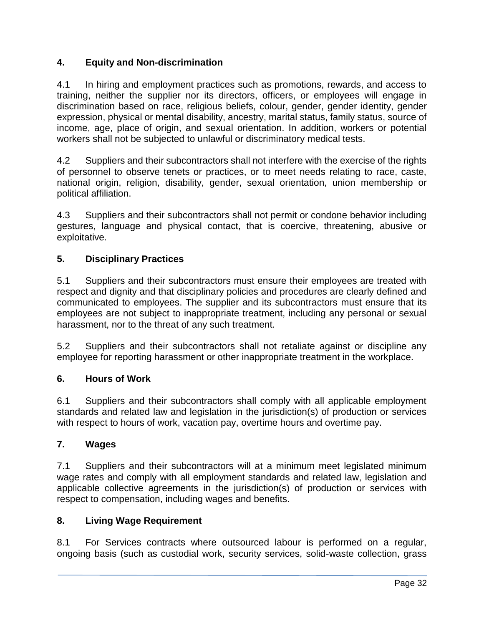# **4. Equity and Non-discrimination**

4.1 In hiring and employment practices such as promotions, rewards, and access to training, neither the supplier nor its directors, officers, or employees will engage in discrimination based on race, religious beliefs, colour, gender, gender identity, gender expression, physical or mental disability, ancestry, marital status, family status, source of income, age, place of origin, and sexual orientation. In addition, workers or potential workers shall not be subjected to unlawful or discriminatory medical tests.

4.2 Suppliers and their subcontractors shall not interfere with the exercise of the rights of personnel to observe tenets or practices, or to meet needs relating to race, caste, national origin, religion, disability, gender, sexual orientation, union membership or political affiliation.

4.3 Suppliers and their subcontractors shall not permit or condone behavior including gestures, language and physical contact, that is coercive, threatening, abusive or exploitative.

### **5. Disciplinary Practices**

5.1 Suppliers and their subcontractors must ensure their employees are treated with respect and dignity and that disciplinary policies and procedures are clearly defined and communicated to employees. The supplier and its subcontractors must ensure that its employees are not subject to inappropriate treatment, including any personal or sexual harassment, nor to the threat of any such treatment.

5.2 Suppliers and their subcontractors shall not retaliate against or discipline any employee for reporting harassment or other inappropriate treatment in the workplace.

### **6. Hours of Work**

6.1 Suppliers and their subcontractors shall comply with all applicable employment standards and related law and legislation in the jurisdiction(s) of production or services with respect to hours of work, vacation pay, overtime hours and overtime pay.

#### **7. Wages**

7.1 Suppliers and their subcontractors will at a minimum meet legislated minimum wage rates and comply with all employment standards and related law, legislation and applicable collective agreements in the jurisdiction(s) of production or services with respect to compensation, including wages and benefits.

### **8. Living Wage Requirement**

8.1 For Services contracts where outsourced labour is performed on a regular, ongoing basis (such as custodial work, security services, solid-waste collection, grass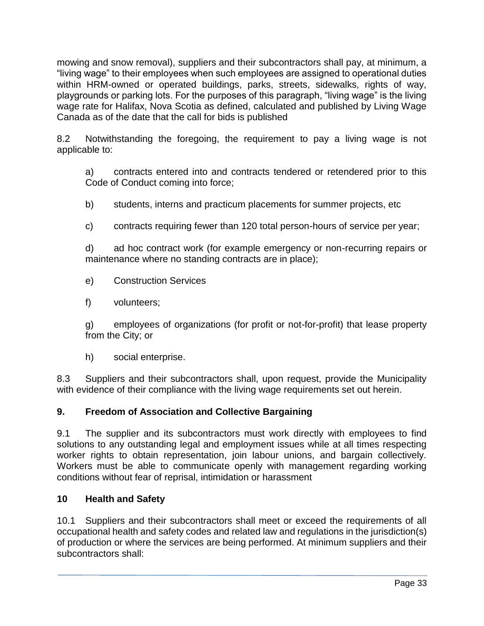mowing and snow removal), suppliers and their subcontractors shall pay, at minimum, a "living wage" to their employees when such employees are assigned to operational duties within HRM-owned or operated buildings, parks, streets, sidewalks, rights of way, playgrounds or parking lots. For the purposes of this paragraph, "living wage" is the living wage rate for Halifax, Nova Scotia as defined, calculated and published by Living Wage Canada as of the date that the call for bids is published

8.2 Notwithstanding the foregoing, the requirement to pay a living wage is not applicable to:

a) contracts entered into and contracts tendered or retendered prior to this Code of Conduct coming into force;

- b) students, interns and practicum placements for summer projects, etc
- c) contracts requiring fewer than 120 total person-hours of service per year;

d) ad hoc contract work (for example emergency or non-recurring repairs or maintenance where no standing contracts are in place);

- e) Construction Services
- f) volunteers;

g) employees of organizations (for profit or not-for-profit) that lease property from the City; or

h) social enterprise.

8.3 Suppliers and their subcontractors shall, upon request, provide the Municipality with evidence of their compliance with the living wage requirements set out herein.

# **9. Freedom of Association and Collective Bargaining**

9.1 The supplier and its subcontractors must work directly with employees to find solutions to any outstanding legal and employment issues while at all times respecting worker rights to obtain representation, join labour unions, and bargain collectively. Workers must be able to communicate openly with management regarding working conditions without fear of reprisal, intimidation or harassment

# **10 Health and Safety**

10.1 Suppliers and their subcontractors shall meet or exceed the requirements of all occupational health and safety codes and related law and regulations in the jurisdiction(s) of production or where the services are being performed. At minimum suppliers and their subcontractors shall: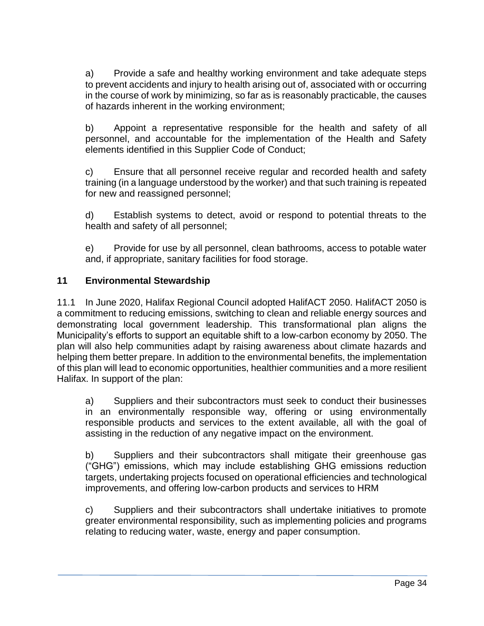a) Provide a safe and healthy working environment and take adequate steps to prevent accidents and injury to health arising out of, associated with or occurring in the course of work by minimizing, so far as is reasonably practicable, the causes of hazards inherent in the working environment;

b) Appoint a representative responsible for the health and safety of all personnel, and accountable for the implementation of the Health and Safety elements identified in this Supplier Code of Conduct;

c) Ensure that all personnel receive regular and recorded health and safety training (in a language understood by the worker) and that such training is repeated for new and reassigned personnel;

d) Establish systems to detect, avoid or respond to potential threats to the health and safety of all personnel;

e) Provide for use by all personnel, clean bathrooms, access to potable water and, if appropriate, sanitary facilities for food storage.

# **11 Environmental Stewardship**

11.1 In June 2020, Halifax Regional Council adopted HalifACT 2050. HalifACT 2050 is a commitment to reducing emissions, switching to clean and reliable energy sources and demonstrating local government leadership. This transformational plan aligns the Municipality's efforts to support an equitable shift to a low-carbon economy by 2050. The plan will also help communities adapt by raising awareness about climate hazards and helping them better prepare. In addition to the environmental benefits, the implementation of this plan will lead to economic opportunities, healthier communities and a more resilient Halifax. In support of the plan:

a) Suppliers and their subcontractors must seek to conduct their businesses in an environmentally responsible way, offering or using environmentally responsible products and services to the extent available, all with the goal of assisting in the reduction of any negative impact on the environment.

b) Suppliers and their subcontractors shall mitigate their greenhouse gas ("GHG") emissions, which may include establishing GHG emissions reduction targets, undertaking projects focused on operational efficiencies and technological improvements, and offering low-carbon products and services to HRM

c) Suppliers and their subcontractors shall undertake initiatives to promote greater environmental responsibility, such as implementing policies and programs relating to reducing water, waste, energy and paper consumption.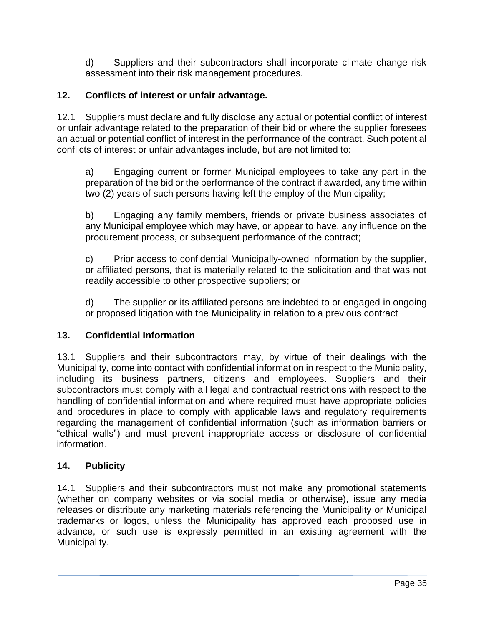d) Suppliers and their subcontractors shall incorporate climate change risk assessment into their risk management procedures.

# **12. Conflicts of interest or unfair advantage.**

12.1 Suppliers must declare and fully disclose any actual or potential conflict of interest or unfair advantage related to the preparation of their bid or where the supplier foresees an actual or potential conflict of interest in the performance of the contract. Such potential conflicts of interest or unfair advantages include, but are not limited to:

a) Engaging current or former Municipal employees to take any part in the preparation of the bid or the performance of the contract if awarded, any time within two (2) years of such persons having left the employ of the Municipality;

b) Engaging any family members, friends or private business associates of any Municipal employee which may have, or appear to have, any influence on the procurement process, or subsequent performance of the contract;

c) Prior access to confidential Municipally-owned information by the supplier, or affiliated persons, that is materially related to the solicitation and that was not readily accessible to other prospective suppliers; or

d) The supplier or its affiliated persons are indebted to or engaged in ongoing or proposed litigation with the Municipality in relation to a previous contract

### **13. Confidential Information**

13.1 Suppliers and their subcontractors may, by virtue of their dealings with the Municipality, come into contact with confidential information in respect to the Municipality, including its business partners, citizens and employees. Suppliers and their subcontractors must comply with all legal and contractual restrictions with respect to the handling of confidential information and where required must have appropriate policies and procedures in place to comply with applicable laws and regulatory requirements regarding the management of confidential information (such as information barriers or "ethical walls") and must prevent inappropriate access or disclosure of confidential information.

### **14. Publicity**

14.1 Suppliers and their subcontractors must not make any promotional statements (whether on company websites or via social media or otherwise), issue any media releases or distribute any marketing materials referencing the Municipality or Municipal trademarks or logos, unless the Municipality has approved each proposed use in advance, or such use is expressly permitted in an existing agreement with the Municipality.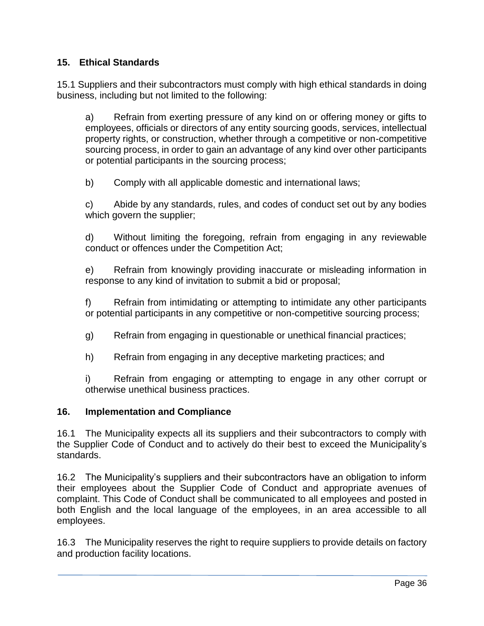## **15. Ethical Standards**

15.1 Suppliers and their subcontractors must comply with high ethical standards in doing business, including but not limited to the following:

a) Refrain from exerting pressure of any kind on or offering money or gifts to employees, officials or directors of any entity sourcing goods, services, intellectual property rights, or construction, whether through a competitive or non-competitive sourcing process, in order to gain an advantage of any kind over other participants or potential participants in the sourcing process;

b) Comply with all applicable domestic and international laws;

c) Abide by any standards, rules, and codes of conduct set out by any bodies which govern the supplier;

d) Without limiting the foregoing, refrain from engaging in any reviewable conduct or offences under the Competition Act;

e) Refrain from knowingly providing inaccurate or misleading information in response to any kind of invitation to submit a bid or proposal;

f) Refrain from intimidating or attempting to intimidate any other participants or potential participants in any competitive or non-competitive sourcing process;

g) Refrain from engaging in questionable or unethical financial practices;

h) Refrain from engaging in any deceptive marketing practices; and

i) Refrain from engaging or attempting to engage in any other corrupt or otherwise unethical business practices.

### **16. Implementation and Compliance**

16.1 The Municipality expects all its suppliers and their subcontractors to comply with the Supplier Code of Conduct and to actively do their best to exceed the Municipality's standards.

16.2 The Municipality's suppliers and their subcontractors have an obligation to inform their employees about the Supplier Code of Conduct and appropriate avenues of complaint. This Code of Conduct shall be communicated to all employees and posted in both English and the local language of the employees, in an area accessible to all employees.

16.3 The Municipality reserves the right to require suppliers to provide details on factory and production facility locations.